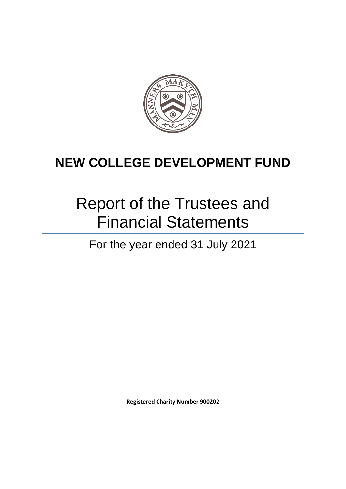

# Report of the Trustees and Financial Statements

For the year ended 31 July 2021

**Registered Charity Number 900202**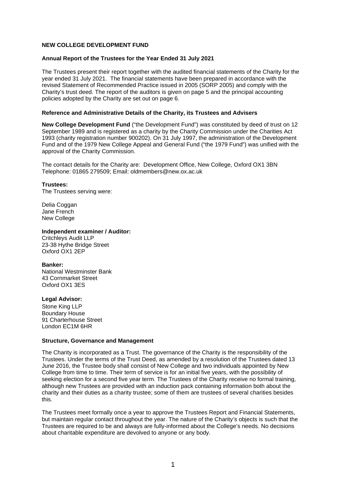#### **Annual Report of the Trustees for the Year Ended 31 July 2021**

The Trustees present their report together with the audited financial statements of the Charity for the year ended 31 July 2021. The financial statements have been prepared in accordance with the revised Statement of Recommended Practice issued in 2005 (SORP 2005) and comply with the Charity's trust deed. The report of the auditors is given on page 5 and the principal accounting policies adopted by the Charity are set out on page 6.

#### **Reference and Administrative Details of the Charity, its Trustees and Advisers**

**New College Development Fund** ("the Development Fund") was constituted by deed of trust on 12 September 1989 and is registered as a charity by the Charity Commission under the Charities Act 1993 (charity registration number 900202). On 31 July 1997, the administration of the Development Fund and of the 1979 New College Appeal and General Fund ("the 1979 Fund") was unified with the approval of the Charity Commission.

The contact details for the Charity are: Development Office, New College, Oxford OX1 3BN Telephone: 01865 279509; Email: oldmembers@new.ox.ac.uk

#### **Trustees:**

The Trustees serving were:

Delia Coggan Jane French New College

#### **Independent examiner / Auditor:**

Critchleys Audit LLP 23-38 Hythe Bridge Street Oxford OX1 2EP

#### **Banker:**

National Westminster Bank 43 Cornmarket Street Oxford OX1 3ES

#### **Legal Advisor:**

Stone King LLP Boundary House 91 Charterhouse Street London EC1M 6HR

#### **Structure, Governance and Management**

The Charity is incorporated as a Trust. The governance of the Charity is the responsibility of the Trustees. Under the terms of the Trust Deed, as amended by a resolution of the Trustees dated 13 June 2016, the Trustee body shall consist of New College and two individuals appointed by New College from time to time. Their term of service is for an initial five years, with the possibility of seeking election for a second five year term. The Trustees of the Charity receive no formal training, although new Trustees are provided with an induction pack containing information both about the charity and their duties as a charity trustee; some of them are trustees of several charities besides this.

The Trustees meet formally once a year to approve the Trustees Report and Financial Statements, but maintain regular contact throughout the year. The nature of the Charity's objects is such that the Trustees are required to be and always are fully-informed about the College's needs. No decisions about charitable expenditure are devolved to anyone or any body.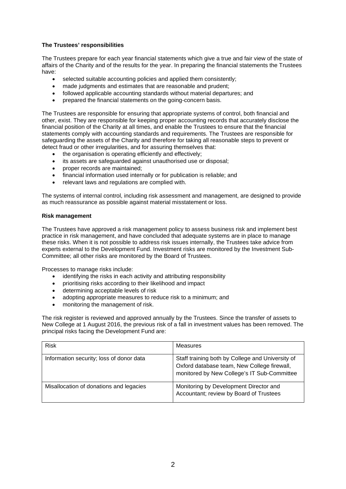# **The Trustees' responsibilities**

The Trustees prepare for each year financial statements which give a true and fair view of the state of affairs of the Charity and of the results for the year. In preparing the financial statements the Trustees have:

- selected suitable accounting policies and applied them consistently;
- made judgments and estimates that are reasonable and prudent;
- followed applicable accounting standards without material departures; and
- prepared the financial statements on the going-concern basis.

The Trustees are responsible for ensuring that appropriate systems of control, both financial and other, exist. They are responsible for keeping proper accounting records that accurately disclose the financial position of the Charity at all times, and enable the Trustees to ensure that the financial statements comply with accounting standards and requirements. The Trustees are responsible for safeguarding the assets of the Charity and therefore for taking all reasonable steps to prevent or detect fraud or other irregularities, and for assuring themselves that:

- the organisation is operating efficiently and effectively;
- its assets are safeguarded against unauthorised use or disposal;
- proper records are maintained;
- financial information used internally or for publication is reliable; and
- relevant laws and regulations are complied with.

The systems of internal control, including risk assessment and management, are designed to provide as much reassurance as possible against material misstatement or loss.

#### **Risk management**

The Trustees have approved a risk management policy to assess business risk and implement best practice in risk management, and have concluded that adequate systems are in place to manage these risks. When it is not possible to address risk issues internally, the Trustees take advice from experts external to the Development Fund. Investment risks are monitored by the Investment Sub-Committee; all other risks are monitored by the Board of Trustees.

Processes to manage risks include:

- identifying the risks in each activity and attributing responsibility
- prioritising risks according to their likelihood and impact
- determining acceptable levels of risk
- adopting appropriate measures to reduce risk to a minimum; and
- monitoring the management of risk.

The risk register is reviewed and approved annually by the Trustees. Since the transfer of assets to New College at 1 August 2016, the previous risk of a fall in investment values has been removed. The principal risks facing the Development Fund are:

| <b>Risk</b>                              | Measures                                                                                                                                       |
|------------------------------------------|------------------------------------------------------------------------------------------------------------------------------------------------|
| Information security; loss of donor data | Staff training both by College and University of<br>Oxford database team, New College firewall,<br>monitored by New College's IT Sub-Committee |
| Misallocation of donations and legacies  | Monitoring by Development Director and<br>Accountant; review by Board of Trustees                                                              |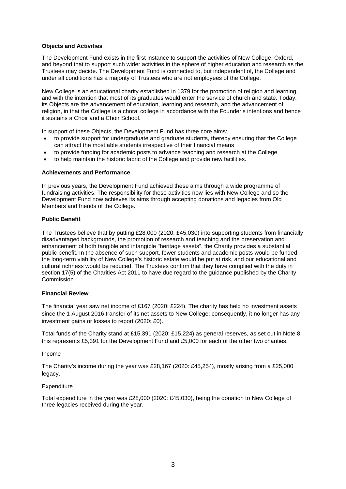#### **Objects and Activities**

The Development Fund exists in the first instance to support the activities of New College, Oxford, and beyond that to support such wider activities in the sphere of higher education and research as the Trustees may decide. The Development Fund is connected to, but independent of, the College and under all conditions has a majority of Trustees who are not employees of the College.

New College is an educational charity established in 1379 for the promotion of religion and learning, and with the intention that most of its graduates would enter the service of church and state. Today, its Objects are the advancement of education, learning and research, and the advancement of religion, in that the College is a choral college in accordance with the Founder's intentions and hence it sustains a Choir and a Choir School.

In support of these Objects, the Development Fund has three core aims:

- to provide support for undergraduate and graduate students, thereby ensuring that the College can attract the most able students irrespective of their financial means
- to provide funding for academic posts to advance teaching and research at the College
- to help maintain the historic fabric of the College and provide new facilities.

#### **Achievements and Performance**

In previous years, the Development Fund achieved these aims through a wide programme of fundraising activities. The responsibility for these activities now lies with New College and so the Development Fund now achieves its aims through accepting donations and legacies from Old Members and friends of the College.

#### **Public Benefit**

The Trustees believe that by putting £28,000 (2020: £45,030) into supporting students from financially disadvantaged backgrounds, the promotion of research and teaching and the preservation and enhancement of both tangible and intangible "heritage assets", the Charity provides a substantial public benefit. In the absence of such support, fewer students and academic posts would be funded, the long-term viability of New College's historic estate would be put at risk, and our educational and cultural richness would be reduced. The Trustees confirm that they have complied with the duty in section 17(5) of the Charities Act 2011 to have due regard to the guidance published by the Charity **Commission** 

#### **Financial Review**

The financial year saw net income of £167 (2020: £224). The charity has held no investment assets since the 1 August 2016 transfer of its net assets to New College; consequently, it no longer has any investment gains or losses to report (2020: £0).

Total funds of the Charity stand at £15,391 (2020: £15,224) as general reserves, as set out in Note 8; this represents £5,391 for the Development Fund and £5,000 for each of the other two charities.

#### Income

The Charity's income during the year was £28,167 (2020: £45,254), mostly arising from a £25,000 legacy.

#### **Expenditure**

Total expenditure in the year was £28,000 (2020: £45,030), being the donation to New College of three legacies received during the year.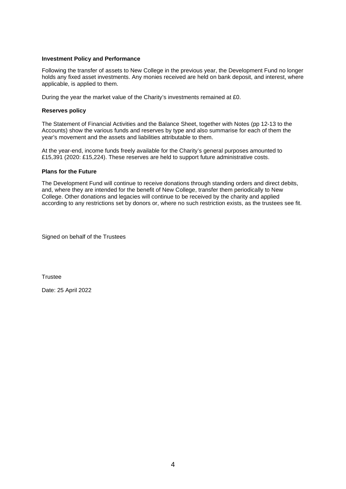#### **Investment Policy and Performance**

Following the transfer of assets to New College in the previous year, the Development Fund no longer holds any fixed asset investments. Any monies received are held on bank deposit, and interest, where applicable, is applied to them.

During the year the market value of the Charity's investments remained at £0.

#### **Reserves policy**

The Statement of Financial Activities and the Balance Sheet, together with Notes (pp 12-13 to the Accounts) show the various funds and reserves by type and also summarise for each of them the year's movement and the assets and liabilities attributable to them.

At the year-end, income funds freely available for the Charity's general purposes amounted to £15,391 (2020: £15,224). These reserves are held to support future administrative costs.

#### **Plans for the Future**

The Development Fund will continue to receive donations through standing orders and direct debits, and, where they are intended for the benefit of New College, transfer them periodically to New College. Other donations and legacies will continue to be received by the charity and applied according to any restrictions set by donors or, where no such restriction exists, as the trustees see fit.

Signed on behalf of the Trustees

**Trustee** 

Date: 25 April 2022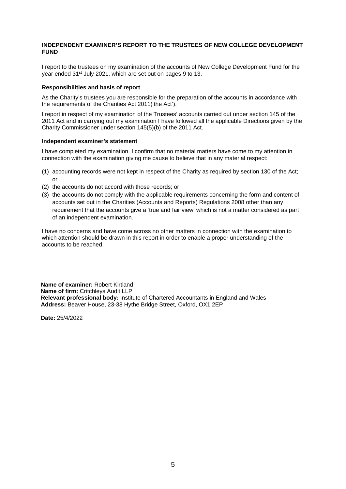#### **INDEPENDENT EXAMINER'S REPORT TO THE TRUSTEES OF NEW COLLEGE DEVELOPMENT FUND**

I report to the trustees on my examination of the accounts of New College Development Fund for the year ended 31st July 2021, which are set out on pages 9 to 13.

#### **Responsibilities and basis of report**

As the Charity's trustees you are responsible for the preparation of the accounts in accordance with the requirements of the Charities Act 2011('the Act').

I report in respect of my examination of the Trustees' accounts carried out under section 145 of the 2011 Act and in carrying out my examination I have followed all the applicable Directions given by the Charity Commissioner under section 145(5)(b) of the 2011 Act.

#### **Independent examiner's statement**

I have completed my examination. I confirm that no material matters have come to my attention in connection with the examination giving me cause to believe that in any material respect:

- (1) accounting records were not kept in respect of the Charity as required by section 130 of the Act; or
- (2) the accounts do not accord with those records; or
- (3) the accounts do not comply with the applicable requirements concerning the form and content of accounts set out in the Charities (Accounts and Reports) Regulations 2008 other than any requirement that the accounts give a 'true and fair view' which is not a matter considered as part of an independent examination.

I have no concerns and have come across no other matters in connection with the examination to which attention should be drawn in this report in order to enable a proper understanding of the accounts to be reached.

**Name of examiner:** Robert Kirtland **Name of firm:** Critchleys Audit LLP **Relevant professional body:** Institute of Chartered Accountants in England and Wales **Address:** Beaver House, 23-38 Hythe Bridge Street, Oxford, OX1 2EP

**Date:** 25/4/2022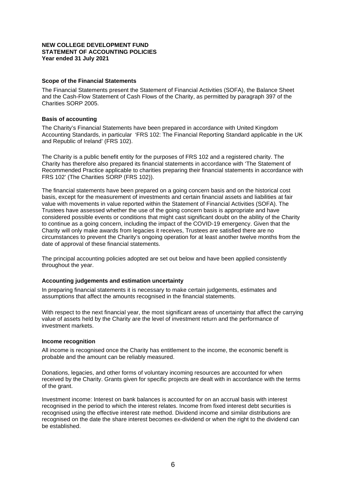#### **NEW COLLEGE DEVELOPMENT FUND STATEMENT OF ACCOUNTING POLICIES Year ended 31 July 2021**

#### **Scope of the Financial Statements**

The Financial Statements present the Statement of Financial Activities (SOFA), the Balance Sheet and the Cash-Flow Statement of Cash Flows of the Charity, as permitted by paragraph 397 of the Charities SORP 2005.

#### **Basis of accounting**

The Charity's Financial Statements have been prepared in accordance with United Kingdom Accounting Standards, in particular 'FRS 102: The Financial Reporting Standard applicable in the UK and Republic of Ireland' (FRS 102).

The Charity is a public benefit entity for the purposes of FRS 102 and a registered charity. The Charity has therefore also prepared its financial statements in accordance with 'The Statement of Recommended Practice applicable to charities preparing their financial statements in accordance with FRS 102' (The Charities SORP (FRS 102)).

The financial statements have been prepared on a going concern basis and on the historical cost basis, except for the measurement of investments and certain financial assets and liabilities at fair value with movements in value reported within the Statement of Financial Activities (SOFA). The Trustees have assessed whether the use of the going concern basis is appropriate and have considered possible events or conditions that might cast significant doubt on the ability of the Charity to continue as a going concern, including the impact of the COVID-19 emergency. Given that the Charity will only make awards from legacies it receives, Trustees are satisfied there are no circumstances to prevent the Charity's ongoing operation for at least another twelve months from the date of approval of these financial statements.

The principal accounting policies adopted are set out below and have been applied consistently throughout the year.

#### **Accounting judgements and estimation uncertainty**

In preparing financial statements it is necessary to make certain judgements, estimates and assumptions that affect the amounts recognised in the financial statements.

With respect to the next financial year, the most significant areas of uncertainty that affect the carrying value of assets held by the Charity are the level of investment return and the performance of investment markets.

#### **Income recognition**

All income is recognised once the Charity has entitlement to the income, the economic benefit is probable and the amount can be reliably measured.

Donations, legacies, and other forms of voluntary incoming resources are accounted for when received by the Charity. Grants given for specific projects are dealt with in accordance with the terms of the grant.

Investment income: Interest on bank balances is accounted for on an accrual basis with interest recognised in the period to which the interest relates. Income from fixed interest debt securities is recognised using the effective interest rate method. Dividend income and similar distributions are recognised on the date the share interest becomes ex-dividend or when the right to the dividend can be established.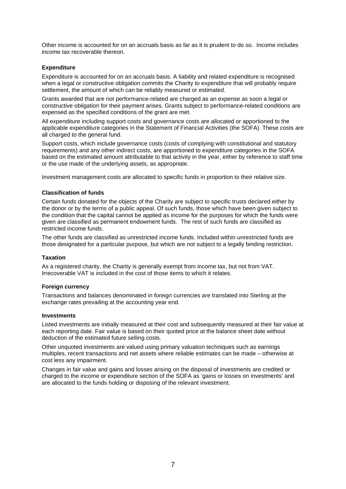Other income is accounted for on an accruals basis as far as it is prudent to do so. Income includes income tax recoverable thereon.

#### **Expenditure**

Expenditure is accounted for on an accruals basis. A liability and related expenditure is recognised when a legal or constructive obligation commits the Charity to expenditure that will probably require settlement, the amount of which can be reliably measured or estimated.

Grants awarded that are not performance-related are charged as an expense as soon a legal or constructive obligation for their payment arises. Grants subject to performance-related conditions are expensed as the specified conditions of the grant are met.

All expenditure including support costs and governance costs are allocated or apportioned to the applicable expenditure categories in the Statement of Financial Activities (the SOFA). These costs are all charged to the general fund.

Support costs, which include governance costs (costs of complying with constitutional and statutory requirements) and any other indirect costs, are apportioned to expenditure categories in the SOFA based on the estimated amount attributable to that activity in the year, either by reference to staff time or the use made of the underlying assets, as appropriate.

Investment management costs are allocated to specific funds in proportion to their relative size.

#### **Classification of funds**

Certain funds donated for the objects of the Charity are subject to specific trusts declared either by the donor or by the terms of a public appeal. Of such funds, those which have been given subject to the condition that the capital cannot be applied as income for the purposes for which the funds were given are classified as permanent endowment funds. The rest of such funds are classified as restricted income funds.

The other funds are classified as unrestricted income funds. Included within unrestricted funds are those designated for a particular purpose, but which are not subject to a legally binding restriction.

#### **Taxation**

As a registered charity, the Charity is generally exempt from income tax, but not from VAT. Irrecoverable VAT is included in the cost of those items to which it relates.

#### **Foreign currency**

Transactions and balances denominated in foreign currencies are translated into Sterling at the exchange rates prevailing at the accounting year end.

#### **Investments**

Listed investments are initially measured at their cost and subsequently measured at their fair value at each reporting date. Fair value is based on their quoted price at the balance sheet date without deduction of the estimated future selling costs.

Other unquoted investments are valued using primary valuation techniques such as earnings multiples, recent transactions and net assets where reliable estimates can be made – otherwise at cost less any impairment.

Changes in fair value and gains and losses arising on the disposal of investments are credited or charged to the income or expenditure section of the SOFA as 'gains or losses on investments' and are allocated to the funds holding or disposing of the relevant investment.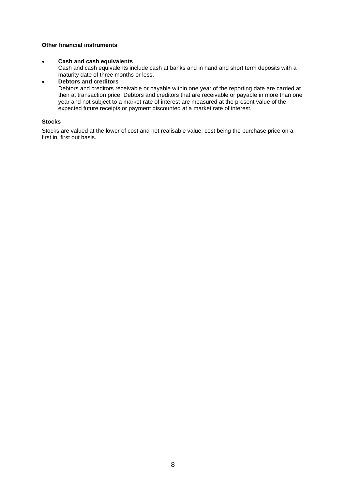#### **Other financial instruments**

#### • **Cash and cash equivalents**

Cash and cash equivalents include cash at banks and in hand and short term deposits with a maturity date of three months or less.

# • **Debtors and creditors**

Debtors and creditors receivable or payable within one year of the reporting date are carried at their at transaction price. Debtors and creditors that are receivable or payable in more than one year and not subject to a market rate of interest are measured at the present value of the expected future receipts or payment discounted at a market rate of interest.

#### **Stocks**

Stocks are valued at the lower of cost and net realisable value, cost being the purchase price on a first in, first out basis.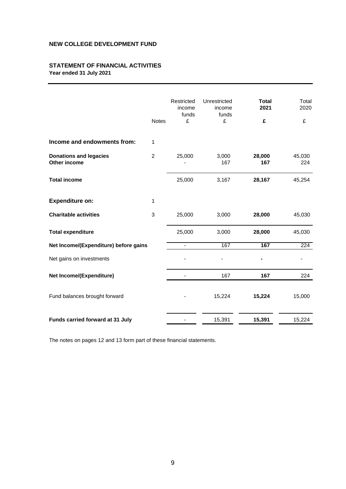# **STATEMENT OF FINANCIAL ACTIVITIES Year ended 31 July 2021**

|                                               | <b>Notes</b>   | Restricted<br>income<br>funds<br>£ | Unrestricted<br>income<br>funds<br>£ | <b>Total</b><br>2021<br>£ | Total<br>2020<br>£ |
|-----------------------------------------------|----------------|------------------------------------|--------------------------------------|---------------------------|--------------------|
| Income and endowments from:                   | 1              |                                    |                                      |                           |                    |
| <b>Donations and legacies</b><br>Other income | $\overline{2}$ | 25,000                             | 3,000<br>167                         | 28,000<br>167             | 45,030<br>224      |
| <b>Total income</b>                           |                | 25,000                             | 3,167                                | 28,167                    | 45,254             |
| <b>Expenditure on:</b>                        | 1              |                                    |                                      |                           |                    |
| <b>Charitable activities</b>                  | 3              | 25,000                             | 3,000                                | 28,000                    | 45,030             |
| <b>Total expenditure</b>                      |                | 25,000                             | 3,000                                | 28,000                    | 45,030             |
| Net Income/(Expenditure) before gains         |                | $\blacksquare$                     | 167                                  | 167                       | 224                |
| Net gains on investments                      |                |                                    |                                      |                           |                    |
| Net Income/(Expenditure)                      |                |                                    | 167                                  | 167                       | 224                |
| Fund balances brought forward                 |                |                                    | 15,224                               | 15,224                    | 15,000             |
| Funds carried forward at 31 July              |                |                                    | 15,391                               | 15,391                    | 15,224             |

The notes on pages 12 and 13 form part of these financial statements.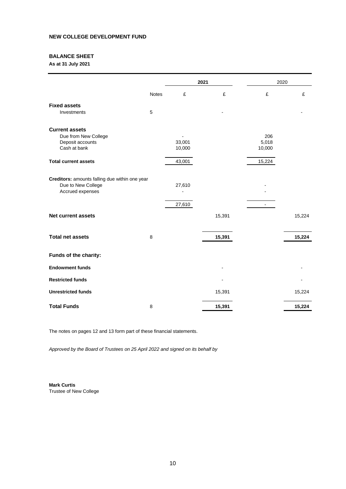# **BALANCE SHEET**

**As at 31 July 2021**

|                                                                                          |              | 2021             |        |                        | 2020   |  |
|------------------------------------------------------------------------------------------|--------------|------------------|--------|------------------------|--------|--|
|                                                                                          | <b>Notes</b> | £                | £      | £                      | £      |  |
| <b>Fixed assets</b><br>Investments                                                       | 5            |                  |        |                        |        |  |
| <b>Current assets</b><br>Due from New College<br>Deposit accounts<br>Cash at bank        |              | 33,001<br>10,000 |        | 206<br>5,018<br>10,000 |        |  |
| <b>Total current assets</b>                                                              |              | 43,001           |        | 15,224                 |        |  |
| Creditors: amounts falling due within one year<br>Due to New College<br>Accrued expenses |              | 27,610           |        |                        |        |  |
|                                                                                          |              | 27,610           |        | $\blacksquare$         |        |  |
| <b>Net current assets</b>                                                                |              |                  | 15,391 |                        | 15,224 |  |
| <b>Total net assets</b>                                                                  | 8            |                  | 15,391 |                        | 15,224 |  |
| Funds of the charity:                                                                    |              |                  |        |                        |        |  |
| <b>Endowment funds</b>                                                                   |              |                  |        |                        |        |  |
| <b>Restricted funds</b>                                                                  |              |                  |        |                        |        |  |
| <b>Unrestricted funds</b>                                                                |              |                  | 15,391 |                        | 15,224 |  |
| <b>Total Funds</b>                                                                       | 8            |                  | 15,391 |                        | 15,224 |  |

The notes on pages 12 and 13 form part of these financial statements.

*Approved by the Board of Trustees on 25 April 2022 and signed on its behalf by*

**Mark Curtis** Trustee of New College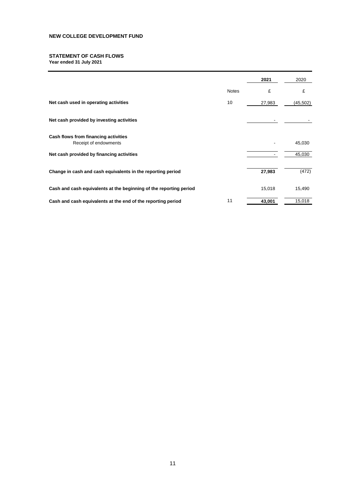#### **STATEMENT OF CASH FLOWS Year ended 31 July 2021**

|                                                                    |              | 2021   | 2020      |
|--------------------------------------------------------------------|--------------|--------|-----------|
|                                                                    | <b>Notes</b> | £      | £         |
| Net cash used in operating activities                              | 10           | 27,983 | (45, 502) |
| Net cash provided by investing activities                          |              |        |           |
| Cash flows from financing activities<br>Receipt of endowments      |              |        | 45,030    |
| Net cash provided by financing activities                          |              |        | 45,030    |
| Change in cash and cash equivalents in the reporting period        |              | 27,983 | (472)     |
| Cash and cash equivalents at the beginning of the reporting period |              | 15,018 | 15,490    |
| Cash and cash equivalents at the end of the reporting period       | 11           | 43,001 | 15,018    |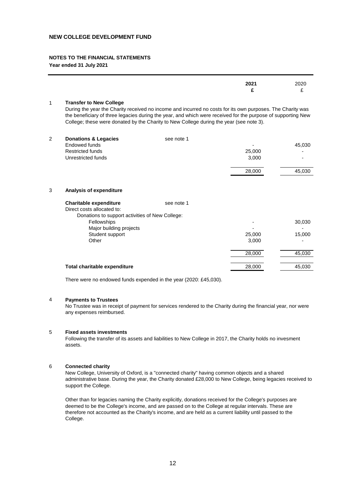#### **NOTES TO THE FINANCIAL STATEMENTS**

**Year ended 31 July 2021**

|   |                                                                                                                                                                                                                                                                                                                                                         |            | 2021<br>£       | 2020<br>£        |
|---|---------------------------------------------------------------------------------------------------------------------------------------------------------------------------------------------------------------------------------------------------------------------------------------------------------------------------------------------------------|------------|-----------------|------------------|
| 1 | <b>Transfer to New College</b><br>During the year the Charity received no income and incurred no costs for its own purposes. The Charity was<br>the beneficiary of three legacies during the year, and which were received for the purpose of supporting New<br>College; these were donated by the Charity to New College during the year (see note 3). |            |                 |                  |
| 2 | <b>Donations &amp; Legacies</b><br>Endowed funds<br><b>Restricted funds</b><br>Unrestricted funds                                                                                                                                                                                                                                                       | see note 1 | 25,000<br>3,000 | 45,030           |
|   |                                                                                                                                                                                                                                                                                                                                                         |            | 28,000          | 45,030           |
| 3 | Analysis of expenditure                                                                                                                                                                                                                                                                                                                                 |            |                 |                  |
|   | <b>Charitable expenditure</b><br>Direct costs allocated to:<br>Donations to support activities of New College:                                                                                                                                                                                                                                          | see note 1 |                 |                  |
|   | Fellowships<br>Major building projects<br>Student support                                                                                                                                                                                                                                                                                               |            | 25,000          | 30,030<br>15,000 |
|   | Other                                                                                                                                                                                                                                                                                                                                                   |            | 3,000           |                  |
|   |                                                                                                                                                                                                                                                                                                                                                         |            | 28,000          | 45,030           |
|   | Total charitable expenditure                                                                                                                                                                                                                                                                                                                            |            | 28,000          | 45,030           |

There were no endowed funds expended in the year (2020: £45,030).

#### 4 **Payments to Trustees**

No Trustee was in receipt of payment for services rendered to the Charity during the financial year, nor were any expenses reimbursed.

#### 5 **Fixed assets investments**

Following the transfer of its assets and liabilities to New College in 2017, the Charity holds no invesment assets.

#### 6 **Connected charity**

New College, University of Oxford, is a "connected charity" having common objects and a shared administrative base. During the year, the Charity donated £28,000 to New College, being legacies received to support the College.

Other than for legacies naming the Charity explicitly, donations received for the College's purposes are deemed to be the College's income, and are passed on to the College at regular intervals. These are therefore not accounted as the Charity's income, and are held as a current liability until passed to the College.